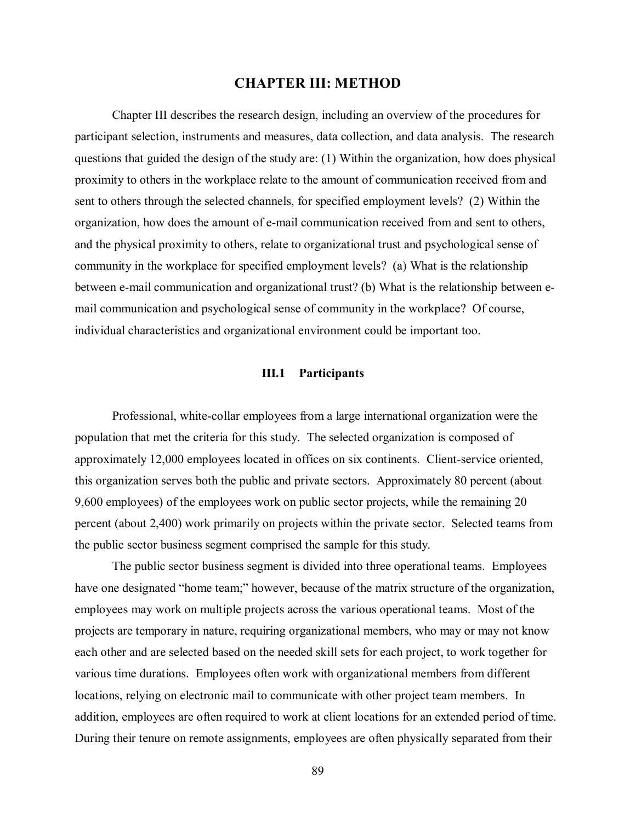## **CHAPTER III: METHOD**

Chapter III describes the research design, including an overview of the procedures for participant selection, instruments and measures, data collection, and data analysis. The research questions that guided the design of the study are: (1) Within the organization, how does physical proximity to others in the workplace relate to the amount of communication received from and sent to others through the selected channels, for specified employment levels? (2) Within the organization, how does the amount of e-mail communication received from and sent to others, and the physical proximity to others, relate to organizational trust and psychological sense of community in the workplace for specified employment levels? (a) What is the relationship between e-mail communication and organizational trust? (b) What is the relationship between email communication and psychological sense of community in the workplace? Of course, individual characteristics and organizational environment could be important too.

### **III.1 Participants**

Professional, white-collar employees from a large international organization were the population that met the criteria for this study. The selected organization is composed of approximately 12,000 employees located in offices on six continents. Client-service oriented, this organization serves both the public and private sectors. Approximately 80 percent (about 9,600 employees) of the employees work on public sector projects, while the remaining 20 percent (about 2,400) work primarily on projects within the private sector. Selected teams from the public sector business segment comprised the sample for this study.

The public sector business segment is divided into three operational teams. Employees have one designated "home team;" however, because of the matrix structure of the organization, employees may work on multiple projects across the various operational teams. Most of the projects are temporary in nature, requiring organizational members, who may or may not know each other and are selected based on the needed skill sets for each project, to work together for various time durations. Employees often work with organizational members from different locations, relying on electronic mail to communicate with other project team members. In addition, employees are often required to work at client locations for an extended period of time. During their tenure on remote assignments, employees are often physically separated from their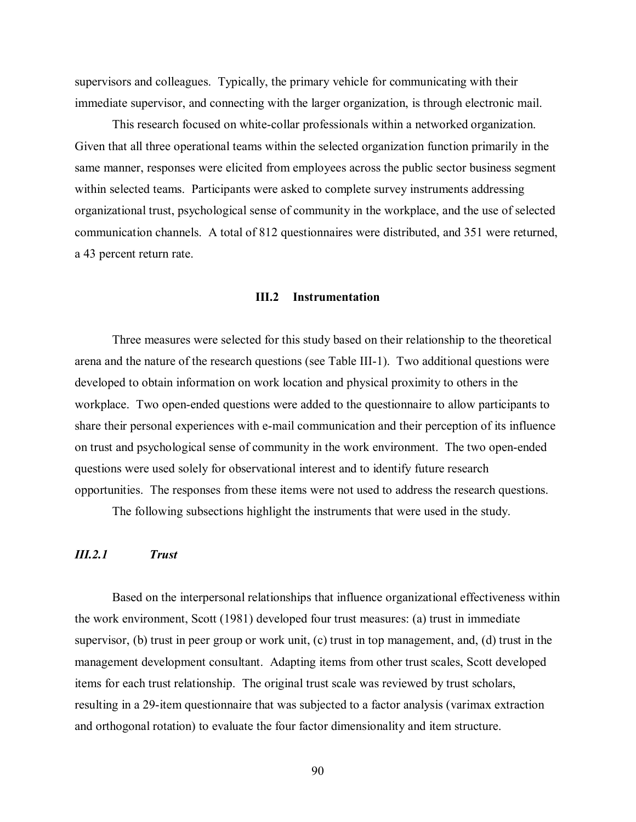supervisors and colleagues. Typically, the primary vehicle for communicating with their immediate supervisor, and connecting with the larger organization, is through electronic mail.

 This research focused on white-collar professionals within a networked organization. Given that all three operational teams within the selected organization function primarily in the same manner, responses were elicited from employees across the public sector business segment within selected teams. Participants were asked to complete survey instruments addressing organizational trust, psychological sense of community in the workplace, and the use of selected communication channels. A total of 812 questionnaires were distributed, and 351 were returned, a 43 percent return rate.

## **III.2 Instrumentation**

Three measures were selected for this study based on their relationship to the theoretical arena and the nature of the research questions (see Table III-1). Two additional questions were developed to obtain information on work location and physical proximity to others in the workplace. Two open-ended questions were added to the questionnaire to allow participants to share their personal experiences with e-mail communication and their perception of its influence on trust and psychological sense of community in the work environment. The two open-ended questions were used solely for observational interest and to identify future research opportunities. The responses from these items were not used to address the research questions.

The following subsections highlight the instruments that were used in the study.

# *III.2.1 Trust*

 Based on the interpersonal relationships that influence organizational effectiveness within the work environment, Scott (1981) developed four trust measures: (a) trust in immediate supervisor, (b) trust in peer group or work unit, (c) trust in top management, and, (d) trust in the management development consultant. Adapting items from other trust scales, Scott developed items for each trust relationship. The original trust scale was reviewed by trust scholars, resulting in a 29-item questionnaire that was subjected to a factor analysis (varimax extraction and orthogonal rotation) to evaluate the four factor dimensionality and item structure.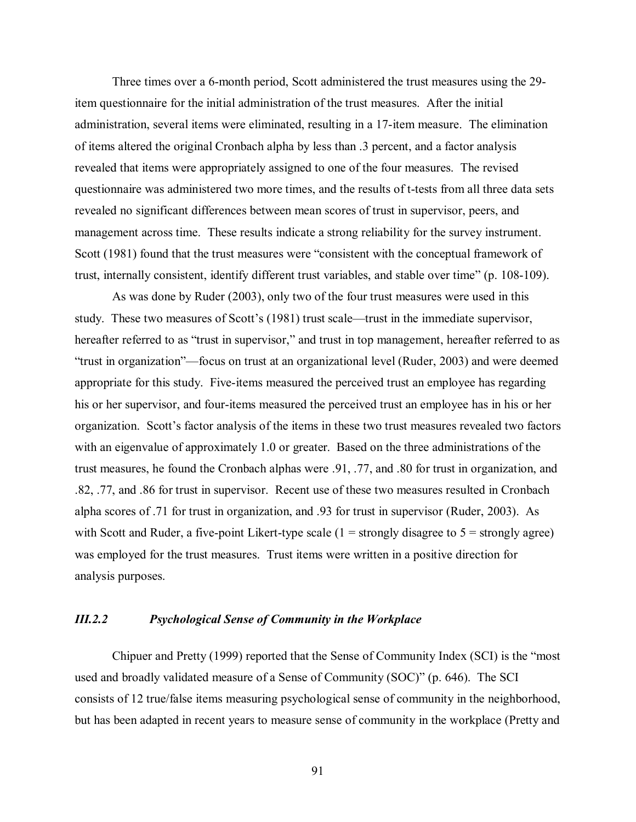Three times over a 6-month period, Scott administered the trust measures using the 29 item questionnaire for the initial administration of the trust measures. After the initial administration, several items were eliminated, resulting in a 17-item measure. The elimination of items altered the original Cronbach alpha by less than .3 percent, and a factor analysis revealed that items were appropriately assigned to one of the four measures. The revised questionnaire was administered two more times, and the results of t-tests from all three data sets revealed no significant differences between mean scores of trust in supervisor, peers, and management across time. These results indicate a strong reliability for the survey instrument. Scott (1981) found that the trust measures were "consistent with the conceptual framework of trust, internally consistent, identify different trust variables, and stable over time" (p. 108-109).

 As was done by Ruder (2003), only two of the four trust measures were used in this study. These two measures of Scott's (1981) trust scale—trust in the immediate supervisor, hereafter referred to as "trust in supervisor," and trust in top management, hereafter referred to as "trust in organization"—focus on trust at an organizational level (Ruder, 2003) and were deemed appropriate for this study. Five-items measured the perceived trust an employee has regarding his or her supervisor, and four-items measured the perceived trust an employee has in his or her organization. Scott's factor analysis of the items in these two trust measures revealed two factors with an eigenvalue of approximately 1.0 or greater. Based on the three administrations of the trust measures, he found the Cronbach alphas were .91, .77, and .80 for trust in organization, and .82, .77, and .86 for trust in supervisor. Recent use of these two measures resulted in Cronbach alpha scores of .71 for trust in organization, and .93 for trust in supervisor (Ruder, 2003). As with Scott and Ruder, a five-point Likert-type scale  $(1 =$  strongly disagree to  $5 =$  strongly agree) was employed for the trust measures. Trust items were written in a positive direction for analysis purposes.

## *III.2.2 Psychological Sense of Community in the Workplace*

 Chipuer and Pretty (1999) reported that the Sense of Community Index (SCI) is the "most used and broadly validated measure of a Sense of Community (SOC)" (p. 646). The SCI consists of 12 true/false items measuring psychological sense of community in the neighborhood, but has been adapted in recent years to measure sense of community in the workplace (Pretty and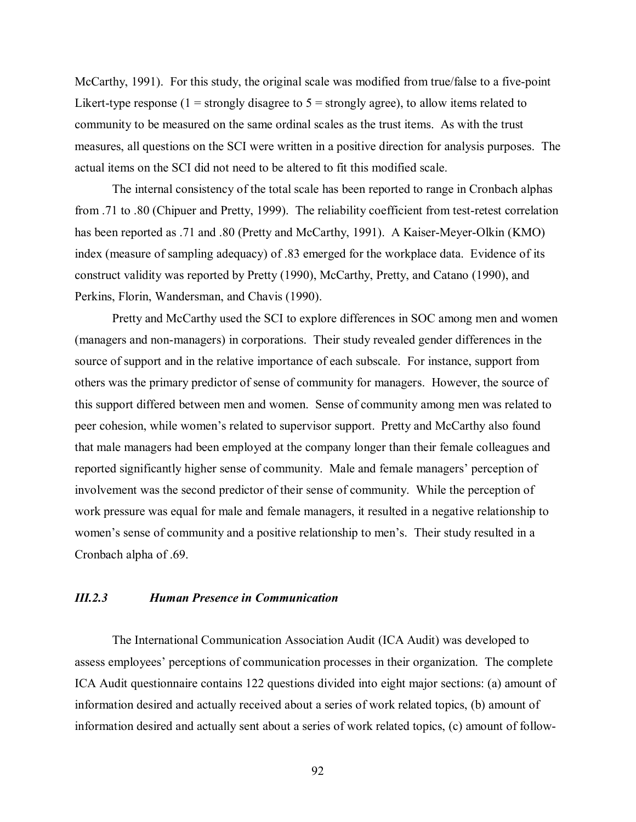McCarthy, 1991). For this study, the original scale was modified from true/false to a five-point Likert-type response (1 = strongly disagree to  $5$  = strongly agree), to allow items related to community to be measured on the same ordinal scales as the trust items. As with the trust measures, all questions on the SCI were written in a positive direction for analysis purposes. The actual items on the SCI did not need to be altered to fit this modified scale.

The internal consistency of the total scale has been reported to range in Cronbach alphas from .71 to .80 (Chipuer and Pretty, 1999). The reliability coefficient from test-retest correlation has been reported as .71 and .80 (Pretty and McCarthy, 1991). A Kaiser-Meyer-Olkin (KMO) index (measure of sampling adequacy) of .83 emerged for the workplace data. Evidence of its construct validity was reported by Pretty (1990), McCarthy, Pretty, and Catano (1990), and Perkins, Florin, Wandersman, and Chavis (1990).

Pretty and McCarthy used the SCI to explore differences in SOC among men and women (managers and non-managers) in corporations. Their study revealed gender differences in the source of support and in the relative importance of each subscale. For instance, support from others was the primary predictor of sense of community for managers. However, the source of this support differed between men and women. Sense of community among men was related to peer cohesion, while women's related to supervisor support. Pretty and McCarthy also found that male managers had been employed at the company longer than their female colleagues and reported significantly higher sense of community. Male and female managers' perception of involvement was the second predictor of their sense of community. While the perception of work pressure was equal for male and female managers, it resulted in a negative relationship to women's sense of community and a positive relationship to men's. Their study resulted in a Cronbach alpha of .69.

## *III.2.3 Human Presence in Communication*

 The International Communication Association Audit (ICA Audit) was developed to assess employees' perceptions of communication processes in their organization. The complete ICA Audit questionnaire contains 122 questions divided into eight major sections: (a) amount of information desired and actually received about a series of work related topics, (b) amount of information desired and actually sent about a series of work related topics, (c) amount of follow-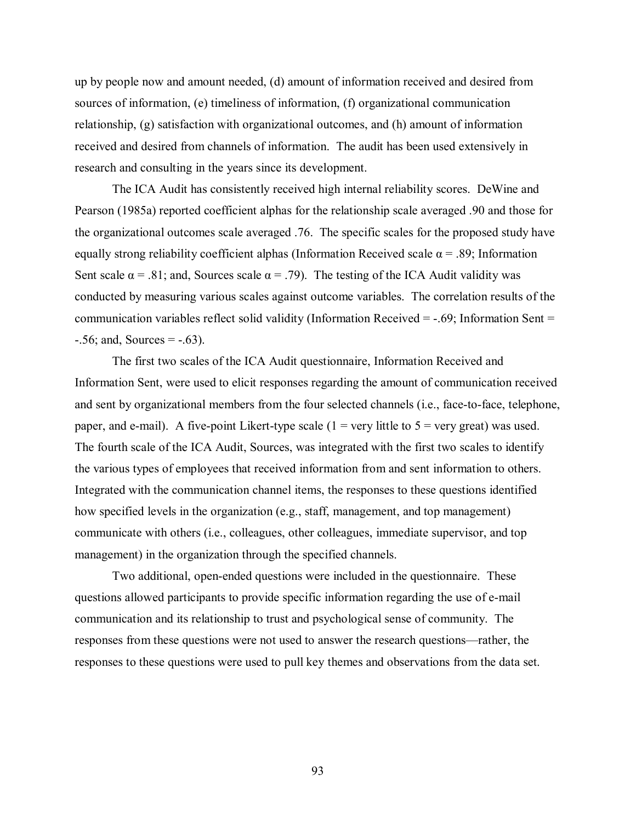up by people now and amount needed, (d) amount of information received and desired from sources of information, (e) timeliness of information, (f) organizational communication relationship, (g) satisfaction with organizational outcomes, and (h) amount of information received and desired from channels of information. The audit has been used extensively in research and consulting in the years since its development.

The ICA Audit has consistently received high internal reliability scores. DeWine and Pearson (1985a) reported coefficient alphas for the relationship scale averaged .90 and those for the organizational outcomes scale averaged .76. The specific scales for the proposed study have equally strong reliability coefficient alphas (Information Received scale  $\alpha$  = .89; Information Sent scale  $\alpha$  = .81; and, Sources scale  $\alpha$  = .79). The testing of the ICA Audit validity was conducted by measuring various scales against outcome variables. The correlation results of the communication variables reflect solid validity (Information Received  $=$  -.69; Information Sent  $=$  $-.56$ ; and, Sources  $= -.63$ ).

 The first two scales of the ICA Audit questionnaire, Information Received and Information Sent, were used to elicit responses regarding the amount of communication received and sent by organizational members from the four selected channels (i.e., face-to-face, telephone, paper, and e-mail). A five-point Likert-type scale ( $1 = \text{very little to } 5 = \text{very great}$ ) was used. The fourth scale of the ICA Audit, Sources, was integrated with the first two scales to identify the various types of employees that received information from and sent information to others. Integrated with the communication channel items, the responses to these questions identified how specified levels in the organization (e.g., staff, management, and top management) communicate with others (i.e., colleagues, other colleagues, immediate supervisor, and top management) in the organization through the specified channels.

Two additional, open-ended questions were included in the questionnaire. These questions allowed participants to provide specific information regarding the use of e-mail communication and its relationship to trust and psychological sense of community. The responses from these questions were not used to answer the research questions—rather, the responses to these questions were used to pull key themes and observations from the data set.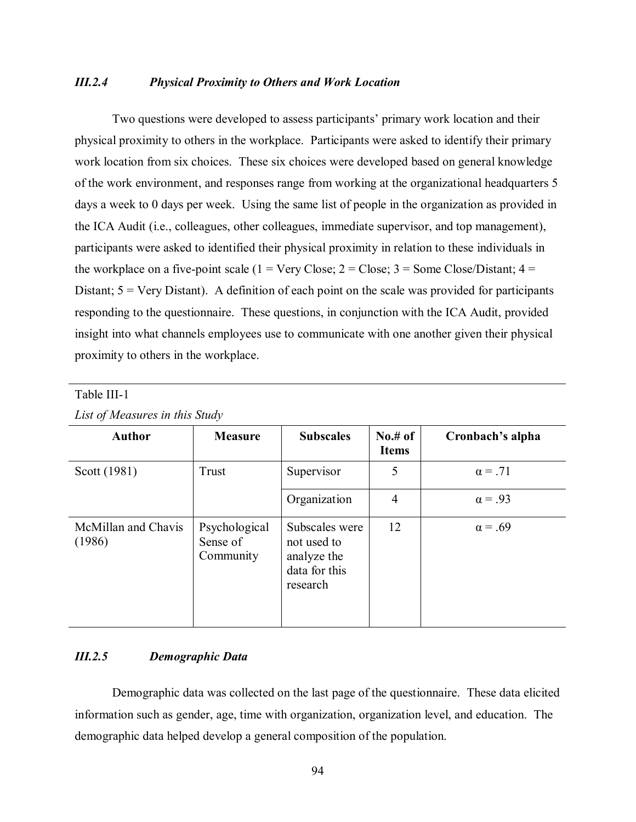# *III.2.4 Physical Proximity to Others and Work Location*

 Two questions were developed to assess participants' primary work location and their physical proximity to others in the workplace. Participants were asked to identify their primary work location from six choices. These six choices were developed based on general knowledge of the work environment, and responses range from working at the organizational headquarters 5 days a week to 0 days per week. Using the same list of people in the organization as provided in the ICA Audit (i.e., colleagues, other colleagues, immediate supervisor, and top management), participants were asked to identified their physical proximity in relation to these individuals in the workplace on a five-point scale (1 = Very Close; 2 = Close; 3 = Some Close/Distant; 4 = Distant;  $5 = \text{Very Distant}$ ). A definition of each point on the scale was provided for participants responding to the questionnaire. These questions, in conjunction with the ICA Audit, provided insight into what channels employees use to communicate with one another given their physical proximity to others in the workplace.

| List of Measures in this Study |                                        |                                                                           |                                              |                  |
|--------------------------------|----------------------------------------|---------------------------------------------------------------------------|----------------------------------------------|------------------|
| <b>Author</b>                  | <b>Measure</b>                         | <b>Subscales</b>                                                          | $\mathbf{No}.\# \mathbf{of}$<br><b>Items</b> | Cronbach's alpha |
| Scott (1981)                   | Trust                                  | Supervisor                                                                | 5                                            | $\alpha = .71$   |
|                                |                                        | Organization                                                              | 4                                            | $\alpha = .93$   |
| McMillan and Chavis<br>(1986)  | Psychological<br>Sense of<br>Community | Subscales were<br>not used to<br>analyze the<br>data for this<br>research | 12                                           | $\alpha = .69$   |

*List of Measures in this Study*

Table III-1

# *III.2.5 Demographic Data*

 Demographic data was collected on the last page of the questionnaire. These data elicited information such as gender, age, time with organization, organization level, and education. The demographic data helped develop a general composition of the population.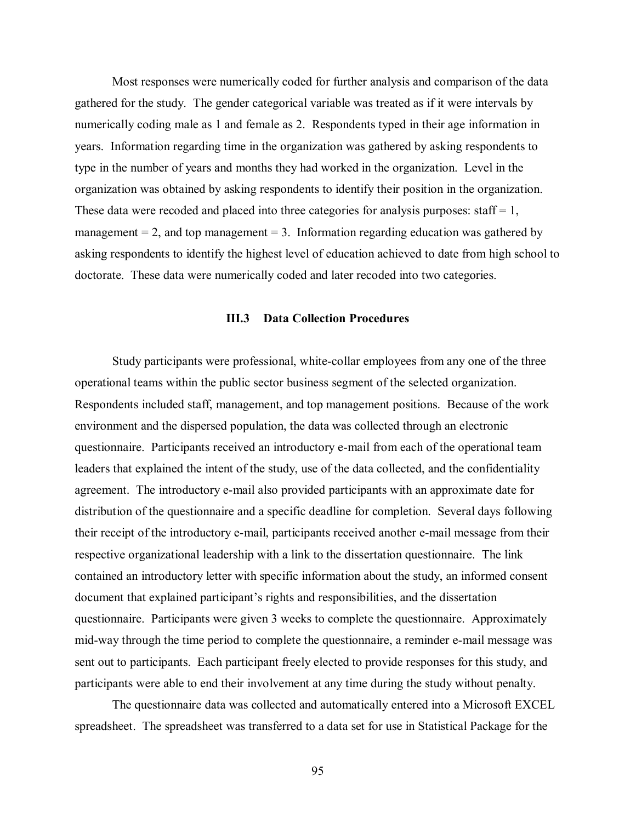Most responses were numerically coded for further analysis and comparison of the data gathered for the study. The gender categorical variable was treated as if it were intervals by numerically coding male as 1 and female as 2. Respondents typed in their age information in years. Information regarding time in the organization was gathered by asking respondents to type in the number of years and months they had worked in the organization. Level in the organization was obtained by asking respondents to identify their position in the organization. These data were recoded and placed into three categories for analysis purposes: staff  $= 1$ , management  $= 2$ , and top management  $= 3$ . Information regarding education was gathered by asking respondents to identify the highest level of education achieved to date from high school to doctorate. These data were numerically coded and later recoded into two categories.

#### **III.3 Data Collection Procedures**

Study participants were professional, white-collar employees from any one of the three operational teams within the public sector business segment of the selected organization. Respondents included staff, management, and top management positions. Because of the work environment and the dispersed population, the data was collected through an electronic questionnaire. Participants received an introductory e-mail from each of the operational team leaders that explained the intent of the study, use of the data collected, and the confidentiality agreement. The introductory e-mail also provided participants with an approximate date for distribution of the questionnaire and a specific deadline for completion. Several days following their receipt of the introductory e-mail, participants received another e-mail message from their respective organizational leadership with a link to the dissertation questionnaire. The link contained an introductory letter with specific information about the study, an informed consent document that explained participant's rights and responsibilities, and the dissertation questionnaire. Participants were given 3 weeks to complete the questionnaire. Approximately mid-way through the time period to complete the questionnaire, a reminder e-mail message was sent out to participants. Each participant freely elected to provide responses for this study, and participants were able to end their involvement at any time during the study without penalty.

The questionnaire data was collected and automatically entered into a Microsoft EXCEL spreadsheet. The spreadsheet was transferred to a data set for use in Statistical Package for the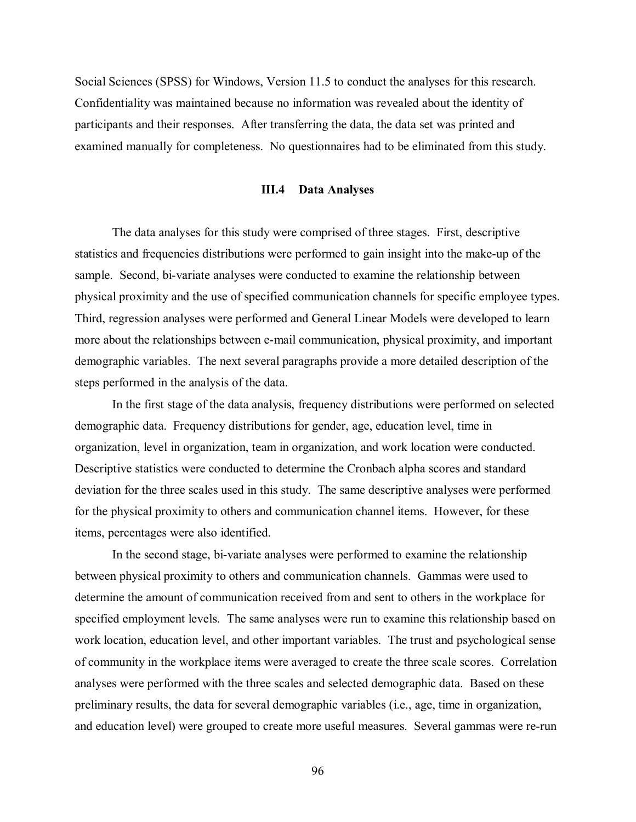Social Sciences (SPSS) for Windows, Version 11.5 to conduct the analyses for this research. Confidentiality was maintained because no information was revealed about the identity of participants and their responses. After transferring the data, the data set was printed and examined manually for completeness. No questionnaires had to be eliminated from this study.

#### **III.4 Data Analyses**

The data analyses for this study were comprised of three stages. First, descriptive statistics and frequencies distributions were performed to gain insight into the make-up of the sample. Second, bi-variate analyses were conducted to examine the relationship between physical proximity and the use of specified communication channels for specific employee types. Third, regression analyses were performed and General Linear Models were developed to learn more about the relationships between e-mail communication, physical proximity, and important demographic variables. The next several paragraphs provide a more detailed description of the steps performed in the analysis of the data.

In the first stage of the data analysis, frequency distributions were performed on selected demographic data. Frequency distributions for gender, age, education level, time in organization, level in organization, team in organization, and work location were conducted. Descriptive statistics were conducted to determine the Cronbach alpha scores and standard deviation for the three scales used in this study. The same descriptive analyses were performed for the physical proximity to others and communication channel items. However, for these items, percentages were also identified.

In the second stage, bi-variate analyses were performed to examine the relationship between physical proximity to others and communication channels. Gammas were used to determine the amount of communication received from and sent to others in the workplace for specified employment levels. The same analyses were run to examine this relationship based on work location, education level, and other important variables. The trust and psychological sense of community in the workplace items were averaged to create the three scale scores. Correlation analyses were performed with the three scales and selected demographic data. Based on these preliminary results, the data for several demographic variables (i.e., age, time in organization, and education level) were grouped to create more useful measures. Several gammas were re-run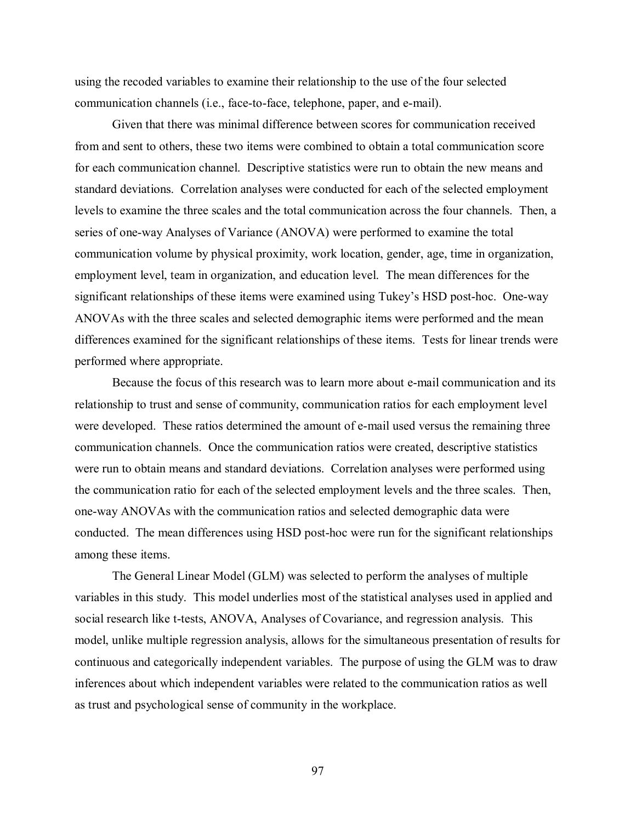using the recoded variables to examine their relationship to the use of the four selected communication channels (i.e., face-to-face, telephone, paper, and e-mail).

Given that there was minimal difference between scores for communication received from and sent to others, these two items were combined to obtain a total communication score for each communication channel. Descriptive statistics were run to obtain the new means and standard deviations. Correlation analyses were conducted for each of the selected employment levels to examine the three scales and the total communication across the four channels. Then, a series of one-way Analyses of Variance (ANOVA) were performed to examine the total communication volume by physical proximity, work location, gender, age, time in organization, employment level, team in organization, and education level. The mean differences for the significant relationships of these items were examined using Tukey's HSD post-hoc. One-way ANOVAs with the three scales and selected demographic items were performed and the mean differences examined for the significant relationships of these items. Tests for linear trends were performed where appropriate.

Because the focus of this research was to learn more about e-mail communication and its relationship to trust and sense of community, communication ratios for each employment level were developed. These ratios determined the amount of e-mail used versus the remaining three communication channels. Once the communication ratios were created, descriptive statistics were run to obtain means and standard deviations. Correlation analyses were performed using the communication ratio for each of the selected employment levels and the three scales. Then, one-way ANOVAs with the communication ratios and selected demographic data were conducted. The mean differences using HSD post-hoc were run for the significant relationships among these items.

The General Linear Model (GLM) was selected to perform the analyses of multiple variables in this study. This model underlies most of the statistical analyses used in applied and social research like t-tests, ANOVA, Analyses of Covariance, and regression analysis. This model, unlike multiple regression analysis, allows for the simultaneous presentation of results for continuous and categorically independent variables. The purpose of using the GLM was to draw inferences about which independent variables were related to the communication ratios as well as trust and psychological sense of community in the workplace.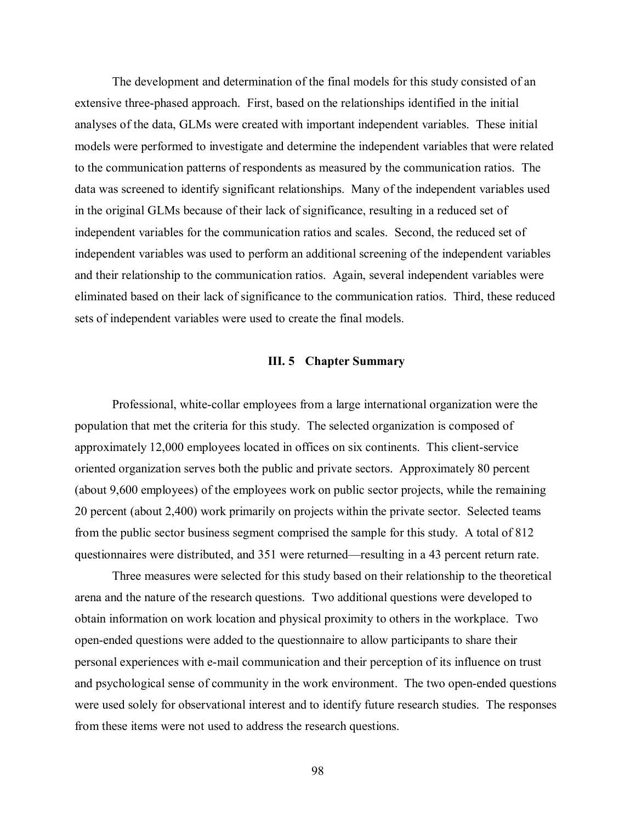The development and determination of the final models for this study consisted of an extensive three-phased approach. First, based on the relationships identified in the initial analyses of the data, GLMs were created with important independent variables. These initial models were performed to investigate and determine the independent variables that were related to the communication patterns of respondents as measured by the communication ratios. The data was screened to identify significant relationships. Many of the independent variables used in the original GLMs because of their lack of significance, resulting in a reduced set of independent variables for the communication ratios and scales. Second, the reduced set of independent variables was used to perform an additional screening of the independent variables and their relationship to the communication ratios. Again, several independent variables were eliminated based on their lack of significance to the communication ratios. Third, these reduced sets of independent variables were used to create the final models.

#### **III. 5 Chapter Summary**

 Professional, white-collar employees from a large international organization were the population that met the criteria for this study. The selected organization is composed of approximately 12,000 employees located in offices on six continents. This client-service oriented organization serves both the public and private sectors. Approximately 80 percent (about 9,600 employees) of the employees work on public sector projects, while the remaining 20 percent (about 2,400) work primarily on projects within the private sector. Selected teams from the public sector business segment comprised the sample for this study. A total of 812 questionnaires were distributed, and 351 were returned—resulting in a 43 percent return rate.

Three measures were selected for this study based on their relationship to the theoretical arena and the nature of the research questions. Two additional questions were developed to obtain information on work location and physical proximity to others in the workplace. Two open-ended questions were added to the questionnaire to allow participants to share their personal experiences with e-mail communication and their perception of its influence on trust and psychological sense of community in the work environment. The two open-ended questions were used solely for observational interest and to identify future research studies. The responses from these items were not used to address the research questions.